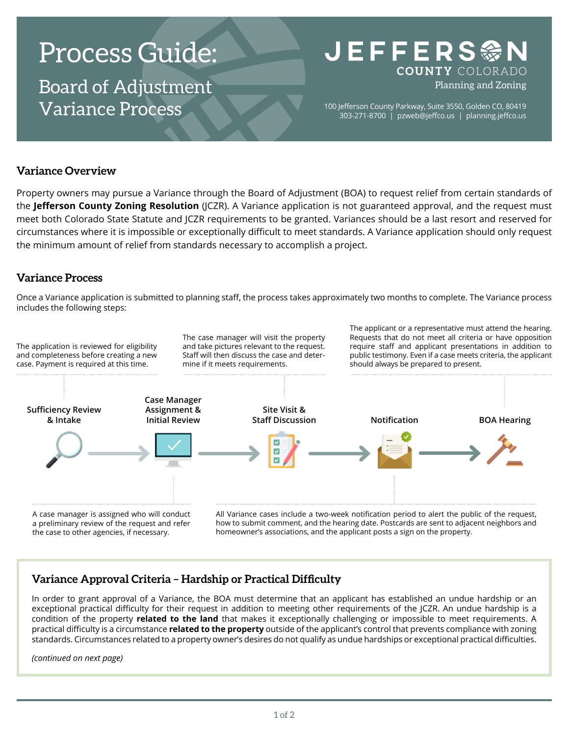# Process Guide:

Board of Adjustment Variance Process

## **JEFFERS参** COUNTY COLORADO Planning and Zoning

100 Jefferson County Parkway, Suite 3550, Golden CO, 80419 303-271-8700 | [pzweb@jeffco.us](mailto:pzweb%40jeffco.us?subject=) | [planning.jeffco.us](http://planning.jeffco.us)

#### **Variance Overview**

Property owners may pursue a Variance through the Board of Adjustment (BOA) to request relief from certain standards of the **[Jefferson County Zoning Resolution](https://www.jeffco.us/2460/)** (JCZR). A Variance application is not guaranteed approval, and the request must meet both Colorado State Statute and JCZR requirements to be granted. Variances should be a last resort and reserved for circumstances where it is impossible or exceptionally difficult to meet standards. A Variance application should only request the minimum amount of relief from standards necessary to accomplish a project.

### **Variance Process**

Once a Variance application is submitted to planning staff, the process takes approximately two months to complete. The Variance process includes the following steps:



### **Variance Approval Criteria – Hardship or Practical Difficulty**

In order to grant approval of a Variance, the BOA must determine that an applicant has established an undue hardship or an exceptional practical difficulty for their request in addition to meeting other requirements of the JCZR. An undue hardship is a condition of the property **related to the land** that makes it exceptionally challenging or impossible to meet requirements. A practical difficulty is a circumstance **related to the property** outside of the applicant's control that prevents compliance with zoning standards. Circumstances related to a property owner's desires do not qualify as undue hardships or exceptional practical difficulties.

*(continued on next page)*